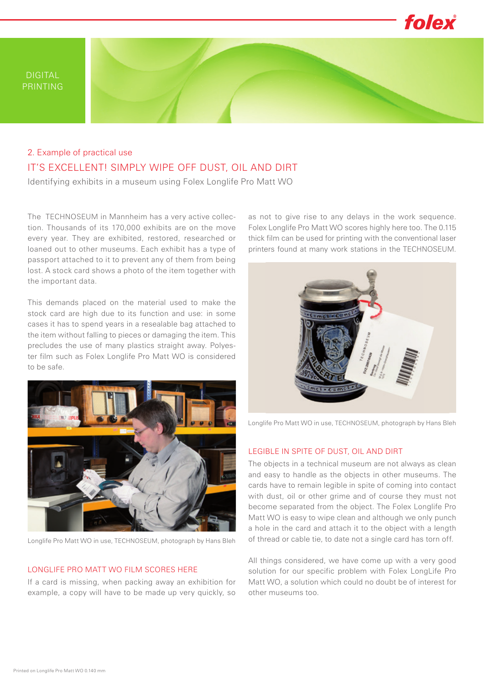

# IT'S EXCELLENT! SIMPLY WIPE OFF DUST, OIL AND DIRT 2. Example of practical use

Identifying exhibits in a museum using Folex Longlife Pro Matt WO

The TECHNOSEUM in Mannheim has a very active collection. Thousands of its 170,000 exhibits are on the move every year. They are exhibited, restored, researched or loaned out to other museums. Each exhibit has a type of passport attached to it to prevent any of them from being lost. A stock card shows a photo of the item together with the important data.

This demands placed on the material used to make the stock card are high due to its function and use: in some cases it has to spend years in a resealable bag attached to the item without falling to pieces or damaging the item. This precludes the use of many plastics straight away. Polyester film such as Folex Longlife Pro Matt WO is considered to be safe.



Longlife Pro Matt WO in use, TECHNOSEUM, photograph by Hans Bleh

#### LONGLIFE PRO MATT WO FILM SCORES HERE

If a card is missing, when packing away an exhibition for example, a copy will have to be made up very quickly, so

as not to give rise to any delays in the work sequence. Folex Longlife Pro Matt WO scores highly here too. The 0.115 thick film can be used for printing with the conventional laser printers found at many work stations in the TECHNOSEUM.



Longlife Pro Matt WO in use, TECHNOSEUM, photograph by Hans Bleh

### LEGIBLE IN SPITE OF DUST, OIL AND DIRT

The objects in a technical museum are not always as clean and easy to handle as the objects in other museums. The cards have to remain legible in spite of coming into contact with dust, oil or other grime and of course they must not become separated from the object. The Folex Longlife Pro Matt WO is easy to wipe clean and although we only punch a hole in the card and attach it to the object with a length of thread or cable tie, to date not a single card has torn off.

All things considered, we have come up with a very good solution for our specific problem with Folex LongLife Pro Matt WO, a solution which could no doubt be of interest for other museums too.